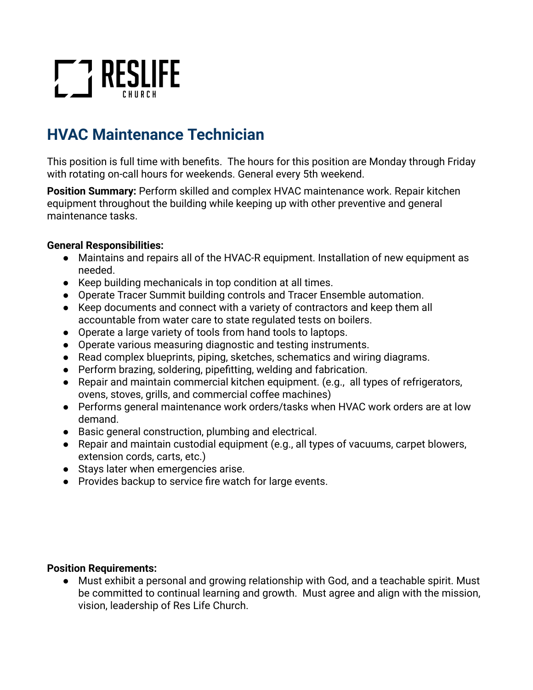# **T7 RESLIFE**

## **HVAC Maintenance Technician**

This position is full time with benefits. The hours for this position are Monday through Friday with rotating on-call hours for weekends. General every 5th weekend.

**Position Summary:** Perform skilled and complex HVAC maintenance work. Repair kitchen equipment throughout the building while keeping up with other preventive and general maintenance tasks.

### **General Responsibilities:**

- Maintains and repairs all of the HVAC-R equipment. Installation of new equipment as needed.
- Keep building mechanicals in top condition at all times.
- Operate Tracer Summit building controls and Tracer Ensemble automation.
- Keep documents and connect with a variety of contractors and keep them all accountable from water care to state regulated tests on boilers.
- Operate a large variety of tools from hand tools to laptops.
- Operate various measuring diagnostic and testing instruments.
- Read complex blueprints, piping, sketches, schematics and wiring diagrams.
- Perform brazing, soldering, pipefitting, welding and fabrication.
- Repair and maintain commercial kitchen equipment. (e.g., all types of refrigerators, ovens, stoves, grills, and commercial coffee machines)
- Performs general maintenance work orders/tasks when HVAC work orders are at low demand.
- Basic general construction, plumbing and electrical.
- Repair and maintain custodial equipment (e.g., all types of vacuums, carpet blowers, extension cords, carts, etc.)
- Stays later when emergencies arise.
- Provides backup to service fire watch for large events.

#### **Position Requirements:**

● Must exhibit a personal and growing relationship with God, and a teachable spirit. Must be committed to continual learning and growth. Must agree and align with the mission, vision, leadership of Res Life Church.